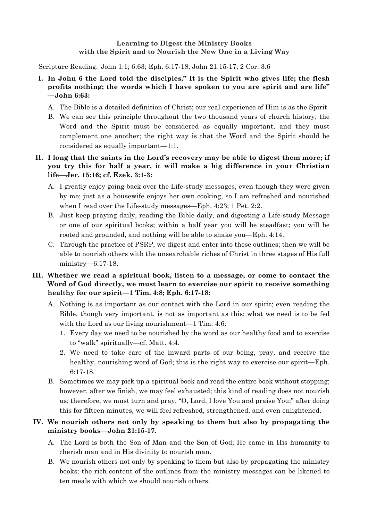## **Learning to Digest the Ministry Books with the Spirit and to Nourish the New One in a Living Way**

Scripture Reading: John 1:1; 6:63; Eph. 6:17-18; John 21:15-17; 2 Cor. 3:6

- **I. In John 6 the Lord told the disciples," It is the Spirit who gives life; the flesh profits nothing; the words which I have spoken to you are spirit and are life" —John 6:63:**
	- A. The Bible is a detailed definition of Christ; our real experience of Him is as the Spirit.
	- B. We can see this principle throughout the two thousand years of church history; the Word and the Spirit must be considered as equally important, and they must complement one another; the right way is that the Word and the Spirit should be considered as equally important—1:1.

## **II. I long that the saints in the Lord's recovery may be able to digest them more; if you try this for half a year, it will make a big difference in your Christian life**—**Jer. 15:16; cf. Ezek. 3:1-3:**

- A. I greatly enjoy going back over the Life-study messages, even though they were given by me; just as a housewife enjoys her own cooking, so I am refreshed and nourished when I read over the Life-study messages**—**Eph. 4:23; 1 Pet. 2:2.
- B. Just keep praying daily, reading the Bible daily, and digesting a Life-study Message or one of our spiritual books; within a half year you will be steadfast; you will be rooted and grounded, and nothing will be able to shake you**—**Eph. 4:14.
- C. Through the practice of PSRP, we digest and enter into these outlines; then we will be able to nourish others with the unsearchable riches of Christ in three stages of His full ministry**—**6:17-18.

## **III. Whether we read a spiritual book, listen to a message, or come to contact the Word of God directly, we must learn to exercise our spirit to receive something healthy for our spirit—1 Tim. 4:8; Eph. 6:17-18:**

- A. Nothing is as important as our contact with the Lord in our spirit; even reading the Bible, though very important, is not as important as this; what we need is to be fed with the Lord as our living nourishment—1 Tim. 4:6:
	- 1. Every day we need to be nourished by the word as our healthy food and to exercise to "walk" spiritually**—**cf. Matt. 4:4.
	- 2. We need to take care of the inward parts of our being, pray, and receive the healthy, nourishing word of God; this is the right way to exercise our spirit**—**Eph. 6:17-18.
- B. Sometimes we may pick up a spiritual book and read the entire book without stopping; however, after we finish, we may feel exhausted; this kind of reading does not nourish us; therefore, we must turn and pray, "O, Lord, I love You and praise You;" after doing this for fifteen minutes, we will feel refreshed, strengthened, and even enlightened.

## **IV. We nourish others not only by speaking to them but also by propagating the ministry books—John 21:15-17.**

- A. The Lord is both the Son of Man and the Son of God; He came in His humanity to cherish man and in His divinity to nourish man.
- B. We nourish others not only by speaking to them but also by propagating the ministry books; the rich content of the outlines from the ministry messages can be likened to ten meals with which we should nourish others.